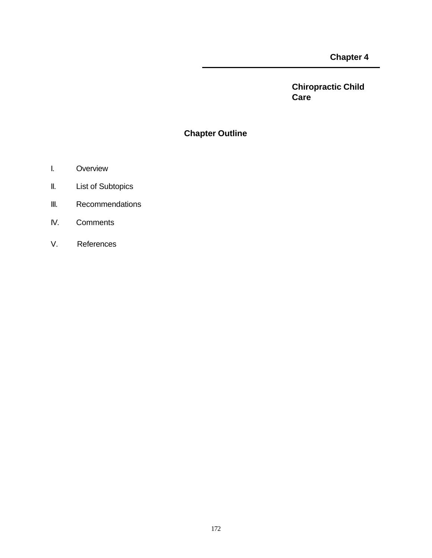**Chiropractic Child Care**

# **Chapter Outline**

- I. Overview
- II. List of Subtopics
- III. Recommendations
- IV. Comments
- V. References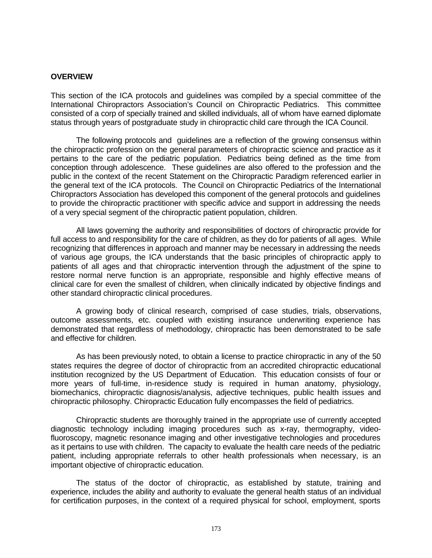### **OVERVIEW**

This section of the ICA protocols and guidelines was compiled by a special committee of the International Chiropractors Association's Council on Chiropractic Pediatrics. This committee consisted of a corp of specially trained and skilled individuals, all of whom have earned diplomate status through years of postgraduate study in chiropractic child care through the ICA Council.

The following protocols and guidelines are a reflection of the growing consensus within the chiropractic profession on the general parameters of chiropractic science and practice as it pertains to the care of the pediatric population. Pediatrics being defined as the time from conception through adolescence. These guidelines are also offered to the profession and the public in the context of the recent Statement on the Chiropractic Paradigm referenced earlier in the general text of the ICA protocols. The Council on Chiropractic Pediatrics of the International Chiropractors Association has developed this component of the general protocols and guidelines to provide the chiropractic practitioner with specific advice and support in addressing the needs of a very special segment of the chiropractic patient population, children.

All laws governing the authority and responsibilities of doctors of chiropractic provide for full access to and responsibility for the care of children, as they do for patients of all ages. While recognizing that differences in approach and manner may be necessary in addressing the needs of various age groups, the ICA understands that the basic principles of chiropractic apply to patients of all ages and that chiropractic intervention through the adjustment of the spine to restore normal nerve function is an appropriate, responsible and highly effective means of clinical care for even the smallest of children, when clinically indicated by objective findings and other standard chiropractic clinical procedures.

A growing body of clinical research, comprised of case studies, trials, observations, outcome assessments, etc. coupled with existing insurance underwriting experience has demonstrated that regardless of methodology, chiropractic has been demonstrated to be safe and effective for children.

As has been previously noted, to obtain a license to practice chiropractic in any of the 50 states requires the degree of doctor of chiropractic from an accredited chiropractic educational institution recognized by the US Department of Education. This education consists of four or more years of full-time, in-residence study is required in human anatomy, physiology, biomechanics, chiropractic diagnosis/analysis, adjective techniques, public health issues and chiropractic philosophy. Chiropractic Education fully encompasses the field of pediatrics.

Chiropractic students are thoroughly trained in the appropriate use of currently accepted diagnostic technology including imaging procedures such as x-ray, thermography, videofluoroscopy, magnetic resonance imaging and other investigative technologies and procedures as it pertains to use with children. The capacity to evaluate the health care needs of the pediatric patient, including appropriate referrals to other health professionals when necessary, is an important objective of chiropractic education.

The status of the doctor of chiropractic, as established by statute, training and experience, includes the ability and authority to evaluate the general health status of an individual for certification purposes, in the context of a required physical for school, employment, sports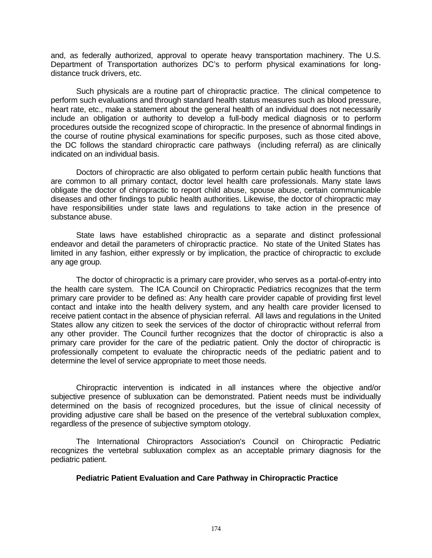and, as federally authorized, approval to operate heavy transportation machinery. The U.S. Department of Transportation authorizes DC's to perform physical examinations for longdistance truck drivers, etc.

Such physicals are a routine part of chiropractic practice. The clinical competence to perform such evaluations and through standard health status measures such as blood pressure, heart rate, etc., make a statement about the general health of an individual does not necessarily include an obligation or authority to develop a full-body medical diagnosis or to perform procedures outside the recognized scope of chiropractic. In the presence of abnormal findings in the course of routine physical examinations for specific purposes, such as those cited above, the DC follows the standard chiropractic care pathways (including referral) as are clinically indicated on an individual basis.

Doctors of chiropractic are also obligated to perform certain public health functions that are common to all primary contact, doctor level health care professionals. Many state laws obligate the doctor of chiropractic to report child abuse, spouse abuse, certain communicable diseases and other findings to public health authorities. Likewise, the doctor of chiropractic may have responsibilities under state laws and regulations to take action in the presence of substance abuse.

State laws have established chiropractic as a separate and distinct professional endeavor and detail the parameters of chiropractic practice. No state of the United States has limited in any fashion, either expressly or by implication, the practice of chiropractic to exclude any age group.

The doctor of chiropractic is a primary care provider, who serves as a portal-of-entry into the health care system. The ICA Council on Chiropractic Pediatrics recognizes that the term primary care provider to be defined as: Any health care provider capable of providing first level contact and intake into the health delivery system, and any health care provider licensed to receive patient contact in the absence of physician referral. All laws and regulations in the United States allow any citizen to seek the services of the doctor of chiropractic without referral from any other provider. The Council further recognizes that the doctor of chiropractic is also a primary care provider for the care of the pediatric patient. Only the doctor of chiropractic is professionally competent to evaluate the chiropractic needs of the pediatric patient and to determine the level of service appropriate to meet those needs.

Chiropractic intervention is indicated in all instances where the objective and/or subjective presence of subluxation can be demonstrated. Patient needs must be individually determined on the basis of recognized procedures, but the issue of clinical necessity of providing adjustive care shall be based on the presence of the vertebral subluxation complex, regardless of the presence of subjective symptom otology.

The International Chiropractors Association's Council on Chiropractic Pediatric recognizes the vertebral subluxation complex as an acceptable primary diagnosis for the pediatric patient.

### **Pediatric Patient Evaluation and Care Pathway in Chiropractic Practice**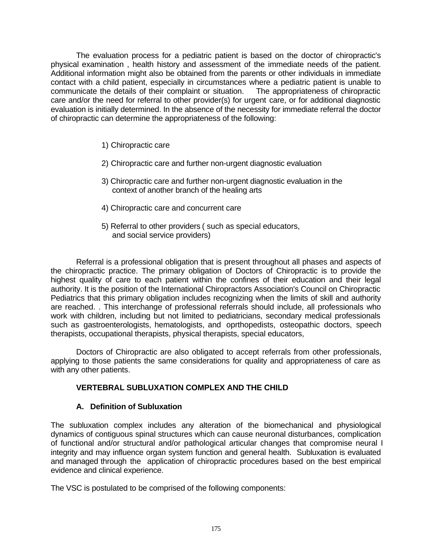The evaluation process for a pediatric patient is based on the doctor of chiropractic's physical examination , health history and assessment of the immediate needs of the patient. Additional information might also be obtained from the parents or other individuals in immediate contact with a child patient, especially in circumstances where a pediatric patient is unable to communicate the details of their complaint or situation. The appropriateness of chiropractic care and/or the need for referral to other provider(s) for urgent care, or for additional diagnostic evaluation is initially determined. In the absence of the necessity for immediate referral the doctor of chiropractic can determine the appropriateness of the following:

- 1) Chiropractic care
- 2) Chiropractic care and further non-urgent diagnostic evaluation
- 3) Chiropractic care and further non-urgent diagnostic evaluation in the context of another branch of the healing arts
- 4) Chiropractic care and concurrent care
- 5) Referral to other providers ( such as special educators, and social service providers)

Referral is a professional obligation that is present throughout all phases and aspects of the chiropractic practice. The primary obligation of Doctors of Chiropractic is to provide the highest quality of care to each patient within the confines of their education and their legal authority. It is the position of the International Chiropractors Association's Council on Chiropractic Pediatrics that this primary obligation includes recognizing when the limits of skill and authority are reached. . This interchange of professional referrals should include, all professionals who work with children, including but not limited to pediatricians, secondary medical professionals such as gastroenterologists, hematologists, and oprthopedists, osteopathic doctors, speech therapists, occupational therapists, physical therapists, special educators,

Doctors of Chiropractic are also obligated to accept referrals from other professionals, applying to those patients the same considerations for quality and appropriateness of care as with any other patients.

## **VERTEBRAL SUBLUXATION COMPLEX AND THE CHILD**

## **A. Definition of Subluxation**

The subluxation complex includes any alteration of the biomechanical and physiological dynamics of contiguous spinal structures which can cause neuronal disturbances, complication of functional and/or structural and/or pathological articular changes that compromise neural I integrity and may influence organ system function and general health. Subluxation is evaluated and managed through the application of chiropractic procedures based on the best empirical evidence and clinical experience.

The VSC is postulated to be comprised of the following components: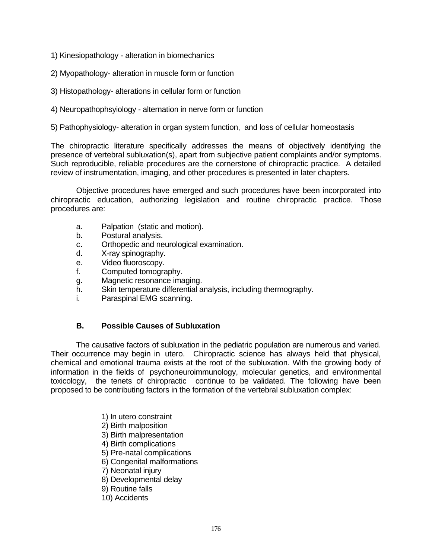1) Kinesiopathology - alteration in biomechanics

2) Myopathology- alteration in muscle form or function

- 3) Histopathology- alterations in cellular form or function
- 4) Neuropathophsyiology alternation in nerve form or function

5) Pathophysiology- alteration in organ system function, and loss of cellular homeostasis

The chiropractic literature specifically addresses the means of objectively identifying the presence of vertebral subluxation(s), apart from subjective patient complaints and/or symptoms. Such reproducible, reliable procedures are the cornerstone of chiropractic practice. A detailed review of instrumentation, imaging, and other procedures is presented in later chapters.

Objective procedures have emerged and such procedures have been incorporated into chiropractic education, authorizing legislation and routine chiropractic practice. Those procedures are:

- a. Palpation (static and motion).
- b. Postural analysis.
- c. Orthopedic and neurological examination.
- d. X-ray spinography.
- e. Video fluoroscopy.
- f. Computed tomography.
- g. Magnetic resonance imaging.
- h. Skin temperature differential analysis, including thermography.
- i. Paraspinal EMG scanning.

## **B. Possible Causes of Subluxation**

The causative factors of subluxation in the pediatric population are numerous and varied. Their occurrence may begin in utero. Chiropractic science has always held that physical, chemical and emotional trauma exists at the root of the subluxation. With the growing body of information in the fields of psychoneuroimmunology, molecular genetics, and environmental toxicology, the tenets of chiropractic continue to be validated. The following have been proposed to be contributing factors in the formation of the vertebral subluxation complex:

- 1) In utero constraint
- 2) Birth malposition
- 3) Birth malpresentation
- 4) Birth complications
- 5) Pre-natal complications
- 6) Congenital malformations
- 7) Neonatal injury
- 8) Developmental delay
- 9) Routine falls
- 10) Accidents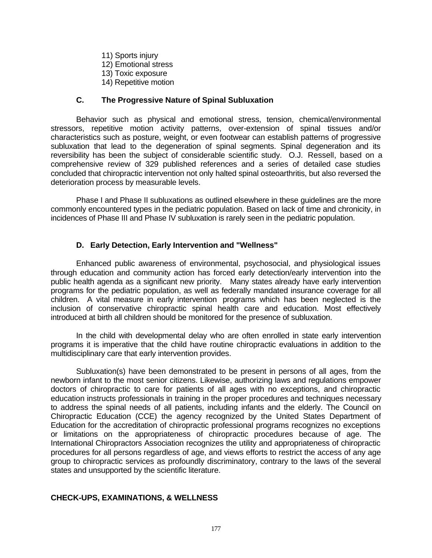- 11) Sports injury
- 12) Emotional stress
- 13) Toxic exposure
- 14) Repetitive motion

## **C. The Progressive Nature of Spinal Subluxation**

Behavior such as physical and emotional stress, tension, chemical/environmental stressors, repetitive motion activity patterns, over-extension of spinal tissues and/or characteristics such as posture, weight, or even footwear can establish patterns of progressive subluxation that lead to the degeneration of spinal segments. Spinal degeneration and its reversibility has been the subject of considerable scientific study. O.J. Ressell, based on a comprehensive review of 329 published references and a series of detailed case studies concluded that chiropractic intervention not only halted spinal osteoarthritis, but also reversed the deterioration process by measurable levels.

Phase I and Phase II subluxations as outlined elsewhere in these guidelines are the more commonly encountered types in the pediatric population. Based on lack of time and chronicity, in incidences of Phase III and Phase IV subluxation is rarely seen in the pediatric population.

## **D. Early Detection, Early Intervention and "Wellness"**

Enhanced public awareness of environmental, psychosocial, and physiological issues through education and community action has forced early detection/early intervention into the public health agenda as a significant new priority. Many states already have early intervention programs for the pediatric population, as well as federally mandated insurance coverage for all children. A vital measure in early intervention programs which has been neglected is the inclusion of conservative chiropractic spinal health care and education. Most effectively introduced at birth all children should be monitored for the presence of subluxation.

In the child with developmental delay who are often enrolled in state early intervention programs it is imperative that the child have routine chiropractic evaluations in addition to the multidisciplinary care that early intervention provides.

Subluxation(s) have been demonstrated to be present in persons of all ages, from the newborn infant to the most senior citizens. Likewise, authorizing laws and regulations empower doctors of chiropractic to care for patients of all ages with no exceptions, and chiropractic education instructs professionals in training in the proper procedures and techniques necessary to address the spinal needs of all patients, including infants and the elderly. The Council on Chiropractic Education (CCE) the agency recognized by the United States Department of Education for the accreditation of chiropractic professional programs recognizes no exceptions or limitations on the appropriateness of chiropractic procedures because of age. The International Chiropractors Association recognizes the utility and appropriateness of chiropractic procedures for all persons regardless of age, and views efforts to restrict the access of any age group to chiropractic services as profoundly discriminatory, contrary to the laws of the several states and unsupported by the scientific literature.

## **CHECK-UPS, EXAMINATIONS, & WELLNESS**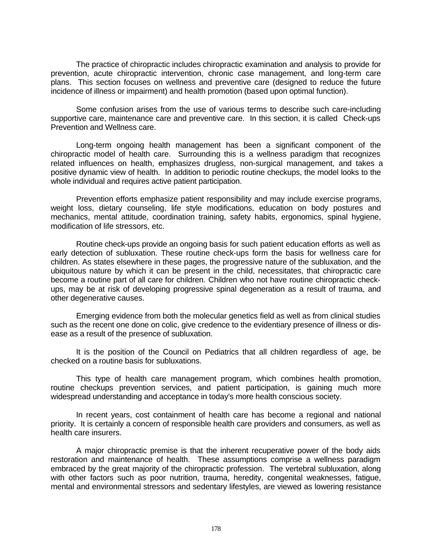The practice of chiropractic includes chiropractic examination and analysis to provide for prevention, acute chiropractic intervention, chronic case management, and long-term care plans. This section focuses on wellness and preventive care (designed to reduce the future incidence of illness or impairment) and health promotion (based upon optimal function).

Some confusion arises from the use of various terms to describe such care-including supportive care, maintenance care and preventive care. In this section, it is called Check-ups Prevention and Wellness care.

Long-term ongoing health management has been a significant component of the chiropractic model of health care. Surrounding this is a wellness paradigm that recognizes related influences on health, emphasizes drugless, non-surgical management, and takes a positive dynamic view of health. In addition to periodic routine checkups, the model looks to the whole individual and requires active patient participation.

Prevention efforts emphasize patient responsibility and may include exercise programs, weight loss, dietary counseling, life style modifications, education on body postures and mechanics, mental attitude, coordination training, safety habits, ergonomics, spinal hygiene, modification of life stressors, etc.

Routine check-ups provide an ongoing basis for such patient education efforts as well as early detection of subluxation. These routine check-ups form the basis for wellness care for children. As states elsewhere in these pages, the progressive nature of the subluxation, and the ubiquitous nature by which it can be present in the child, necessitates, that chiropractic care become a routine part of all care for children. Children who not have routine chiropractic checkups, may be at risk of developing progressive spinal degeneration as a result of trauma, and other degenerative causes.

Emerging evidence from both the molecular genetics field as well as from clinical studies such as the recent one done on colic, give credence to the evidentiary presence of illness or disease as a result of the presence of subluxation.

It is the position of the Council on Pediatrics that all children regardless of age, be checked on a routine basis for subluxations.

This type of health care management program, which combines health promotion, routine checkups prevention services, and patient participation, is gaining much more widespread understanding and acceptance in today's more health conscious society.

In recent years, cost containment of health care has become a regional and national priority. It is certainly a concern of responsible health care providers and consumers, as well as health care insurers.

A major chiropractic premise is that the inherent recuperative power of the body aids restoration and maintenance of health. These assumptions comprise a wellness paradigm embraced by the great majority of the chiropractic profession. The vertebral subluxation, along with other factors such as poor nutrition, trauma, heredity, congenital weaknesses, fatigue, mental and environmental stressors and sedentary lifestyles, are viewed as lowering resistance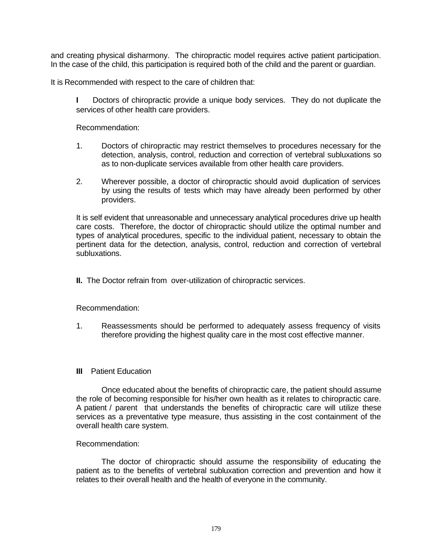and creating physical disharmony. The chiropractic model requires active patient participation. In the case of the child, this participation is required both of the child and the parent or quardian.

It is Recommended with respect to the care of children that:

**I** Doctors of chiropractic provide a unique body services. They do not duplicate the services of other health care providers.

Recommendation:

- 1. Doctors of chiropractic may restrict themselves to procedures necessary for the detection, analysis, control, reduction and correction of vertebral subluxations so as to non-duplicate services available from other health care providers.
- 2. Wherever possible, a doctor of chiropractic should avoid duplication of services by using the results of tests which may have already been performed by other providers.

It is self evident that unreasonable and unnecessary analytical procedures drive up health care costs. Therefore, the doctor of chiropractic should utilize the optimal number and types of analytical procedures, specific to the individual patient, necessary to obtain the pertinent data for the detection, analysis, control, reduction and correction of vertebral subluxations.

**II.** The Doctor refrain from over-utilization of chiropractic services.

Recommendation:

1. Reassessments should be performed to adequately assess frequency of visits therefore providing the highest quality care in the most cost effective manner.

### **III** Patient Education

Once educated about the benefits of chiropractic care, the patient should assume the role of becoming responsible for his/her own health as it relates to chiropractic care. A patient / parent that understands the benefits of chiropractic care will utilize these services as a preventative type measure, thus assisting in the cost containment of the overall health care system.

### Recommendation:

The doctor of chiropractic should assume the responsibility of educating the patient as to the benefits of vertebral subluxation correction and prevention and how it relates to their overall health and the health of everyone in the community.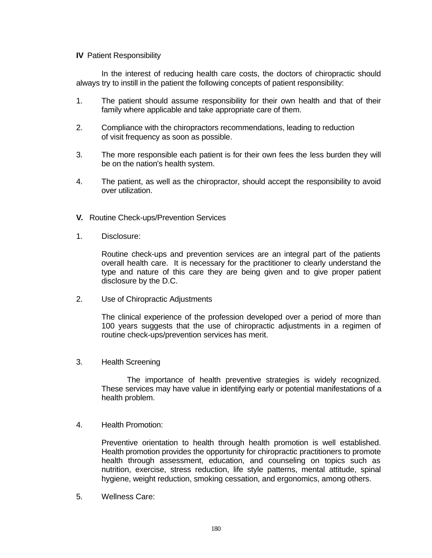## **IV** Patient Responsibility

In the interest of reducing health care costs, the doctors of chiropractic should always try to instill in the patient the following concepts of patient responsibility:

- 1. The patient should assume responsibility for their own health and that of their family where applicable and take appropriate care of them.
- 2. Compliance with the chiropractors recommendations, leading to reduction of visit frequency as soon as possible.
- 3. The more responsible each patient is for their own fees the less burden they will be on the nation's health system.
- 4. The patient, as well as the chiropractor, should accept the responsibility to avoid over utilization.
- **V.** Routine Check-ups/Prevention Services
- 1. Disclosure:

Routine check-ups and prevention services are an integral part of the patients overall health care. It is necessary for the practitioner to clearly understand the type and nature of this care they are being given and to give proper patient disclosure by the D.C.

2. Use of Chiropractic Adjustments

The clinical experience of the profession developed over a period of more than 100 years suggests that the use of chiropractic adjustments in a regimen of routine check-ups/prevention services has merit.

3. Health Screening

The importance of health preventive strategies is widely recognized. These services may have value in identifying early or potential manifestations of a health problem.

4. Health Promotion:

Preventive orientation to health through health promotion is well established. Health promotion provides the opportunity for chiropractic practitioners to promote health through assessment, education, and counseling on topics such as nutrition, exercise, stress reduction, life style patterns, mental attitude, spinal hygiene, weight reduction, smoking cessation, and ergonomics, among others.

5. Wellness Care: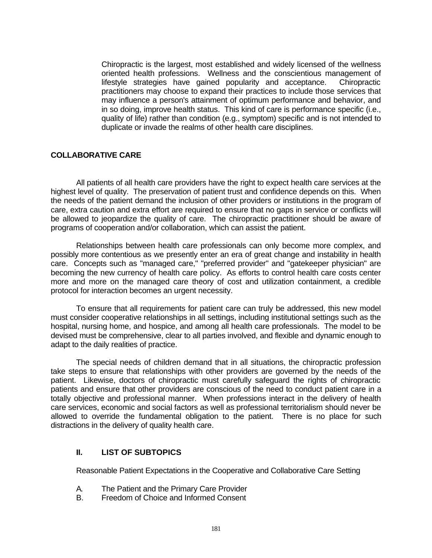Chiropractic is the largest, most established and widely licensed of the wellness oriented health professions. Wellness and the conscientious management of lifestyle strategies have gained popularity and acceptance. Chiropractic practitioners may choose to expand their practices to include those services that may influence a person's attainment of optimum performance and behavior, and in so doing, improve health status. This kind of care is performance specific (i.e., quality of life) rather than condition (e.g., symptom) specific and is not intended to duplicate or invade the realms of other health care disciplines.

## **COLLABORATIVE CARE**

All patients of all health care providers have the right to expect health care services at the highest level of quality. The preservation of patient trust and confidence depends on this. When the needs of the patient demand the inclusion of other providers or institutions in the program of care, extra caution and extra effort are required to ensure that no gaps in service or conflicts will be allowed to jeopardize the quality of care. The chiropractic practitioner should be aware of programs of cooperation and/or collaboration, which can assist the patient.

Relationships between health care professionals can only become more complex, and possibly more contentious as we presently enter an era of great change and instability in health care. Concepts such as "managed care," "preferred provider" and "gatekeeper physician" are becoming the new currency of health care policy. As efforts to control health care costs center more and more on the managed care theory of cost and utilization containment, a credible protocol for interaction becomes an urgent necessity.

To ensure that all requirements for patient care can truly be addressed, this new model must consider cooperative relationships in all settings, including institutional settings such as the hospital, nursing home, and hospice, and among all health care professionals. The model to be devised must be comprehensive, clear to all parties involved, and flexible and dynamic enough to adapt to the daily realities of practice.

The special needs of children demand that in all situations, the chiropractic profession take steps to ensure that relationships with other providers are governed by the needs of the patient. Likewise, doctors of chiropractic must carefully safeguard the rights of chiropractic patients and ensure that other providers are conscious of the need to conduct patient care in a totally objective and professional manner. When professions interact in the delivery of health care services, economic and social factors as well as professional territorialism should never be allowed to override the fundamental obligation to the patient. There is no place for such distractions in the delivery of quality health care.

## **II. LIST OF SUBTOPICS**

Reasonable Patient Expectations in the Cooperative and Collaborative Care Setting

- A. The Patient and the Primary Care Provider
- B. Freedom of Choice and Informed Consent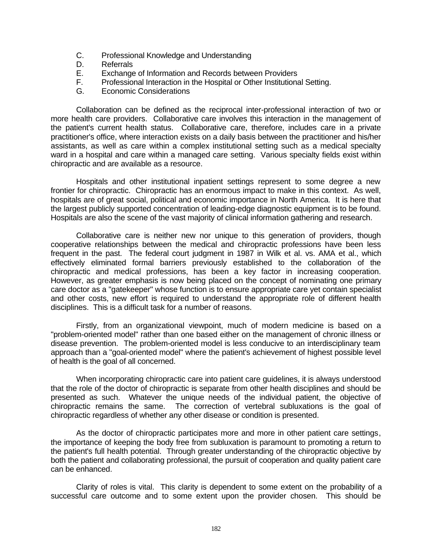- C. Professional Knowledge and Understanding
- D. Referrals
- E. Exchange of Information and Records between Providers
- F. Professional Interaction in the Hospital or Other Institutional Setting.
- G. Economic Considerations

Collaboration can be defined as the reciprocal inter-professional interaction of two or more health care providers. Collaborative care involves this interaction in the management of the patient's current health status. Collaborative care, therefore, includes care in a private practitioner's office, where interaction exists on a daily basis between the practitioner and his/her assistants, as well as care within a complex institutional setting such as a medical specialty ward in a hospital and care within a managed care setting. Various specialty fields exist within chiropractic and are available as a resource.

Hospitals and other institutional inpatient settings represent to some degree a new frontier for chiropractic. Chiropractic has an enormous impact to make in this context. As well, hospitals are of great social, political and economic importance in North America. It is here that the largest publicly supported concentration of leading-edge diagnostic equipment is to be found. Hospitals are also the scene of the vast majority of clinical information gathering and research.

Collaborative care is neither new nor unique to this generation of providers, though cooperative relationships between the medical and chiropractic professions have been less frequent in the past. The federal court judgment in 1987 in Wilk et al. vs. AMA et al., which effectively eliminated formal barriers previously established to the collaboration of the chiropractic and medical professions, has been a key factor in increasing cooperation. However, as greater emphasis is now being placed on the concept of nominating one primary care doctor as a "gatekeeper" whose function is to ensure appropriate care yet contain specialist and other costs, new effort is required to understand the appropriate role of different health disciplines. This is a difficult task for a number of reasons.

Firstly, from an organizational viewpoint, much of modern medicine is based on a "problem-oriented model" rather than one based either on the management of chronic illness or disease prevention. The problem-oriented model is less conducive to an interdisciplinary team approach than a "goal-oriented model" where the patient's achievement of highest possible level of health is the goal of all concerned.

When incorporating chiropractic care into patient care guidelines, it is always understood that the role of the doctor of chiropractic is separate from other health disciplines and should be presented as such. Whatever the unique needs of the individual patient, the objective of chiropractic remains the same. The correction of vertebral subluxations is the goal of chiropractic regardless of whether any other disease or condition is presented.

As the doctor of chiropractic participates more and more in other patient care settings, the importance of keeping the body free from subluxation is paramount to promoting a return to the patient's full health potential. Through greater understanding of the chiropractic objective by both the patient and collaborating professional, the pursuit of cooperation and quality patient care can be enhanced.

Clarity of roles is vital. This clarity is dependent to some extent on the probability of a successful care outcome and to some extent upon the provider chosen. This should be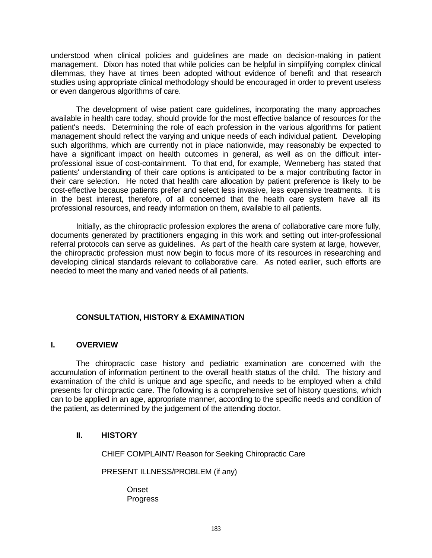understood when clinical policies and guidelines are made on decision-making in patient management. Dixon has noted that while policies can be helpful in simplifying complex clinical dilemmas, they have at times been adopted without evidence of benefit and that research studies using appropriate clinical methodology should be encouraged in order to prevent useless or even dangerous algorithms of care.

The development of wise patient care guidelines, incorporating the many approaches available in health care today, should provide for the most effective balance of resources for the patient's needs. Determining the role of each profession in the various algorithms for patient management should reflect the varying and unique needs of each individual patient. Developing such algorithms, which are currently not in place nationwide, may reasonably be expected to have a significant impact on health outcomes in general, as well as on the difficult interprofessional issue of cost-containment. To that end, for example, Wenneberg has stated that patients' understanding of their care options is anticipated to be a major contributing factor in their care selection. He noted that health care allocation by patient preference is likely to be cost-effective because patients prefer and select less invasive, less expensive treatments. It is in the best interest, therefore, of all concerned that the health care system have all its professional resources, and ready information on them, available to all patients.

Initially, as the chiropractic profession explores the arena of collaborative care more fully, documents generated by practitioners engaging in this work and setting out inter-professional referral protocols can serve as guidelines. As part of the health care system at large, however, the chiropractic profession must now begin to focus more of its resources in researching and developing clinical standards relevant to collaborative care. As noted earlier, such efforts are needed to meet the many and varied needs of all patients.

## **CONSULTATION, HISTORY & EXAMINATION**

## **I. OVERVIEW**

The chiropractic case history and pediatric examination are concerned with the accumulation of information pertinent to the overall health status of the child. The history and examination of the child is unique and age specific, and needs to be employed when a child presents for chiropractic care. The following is a comprehensive set of history questions, which can to be applied in an age, appropriate manner, according to the specific needs and condition of the patient, as determined by the judgement of the attending doctor.

## **II. HISTORY**

CHIEF COMPLAINT/ Reason for Seeking Chiropractic Care

PRESENT ILLNESS/PROBLEM (if any)

Onset Progress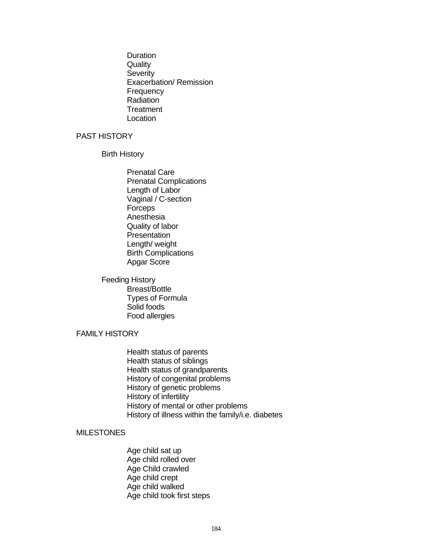Duration **Quality Severity** Exacerbation/ Remission **Frequency** Radiation **Treatment** Location

### PAST HISTORY

### Birth History

- Prenatal Care Prenatal Complications Length of Labor Vaginal / C-section **Forceps** Anesthesia Quality of labor **Presentation** Length/ weight Birth Complications Apgar Score
- Feeding History Breast/Bottle Types of Formula Solid foods Food allergies

## FAMILY HISTORY

Health status of parents Health status of siblings Health status of grandparents History of congenital problems History of genetic problems History of infertility History of mental or other problems History of illness within the family/i.e. diabetes

## **MILESTONES**

Age child sat up Age child rolled over Age Child crawled Age child crept Age child walked Age child took first steps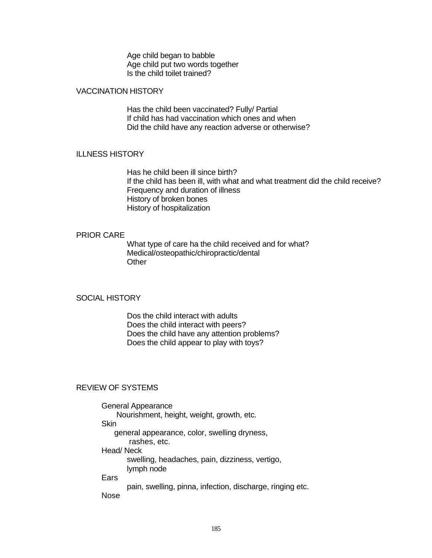Age child began to babble Age child put two words together Is the child toilet trained?

### VACCINATION HISTORY

Has the child been vaccinated? Fully/ Partial If child has had vaccination which ones and when Did the child have any reaction adverse or otherwise?

### ILLNESS HISTORY

Has he child been ill since birth? If the child has been ill, with what and what treatment did the child receive? Frequency and duration of illness History of broken bones History of hospitalization

#### PRIOR CARE

What type of care ha the child received and for what? Medical/osteopathic/chiropractic/dental **Other** 

### SOCIAL HISTORY

Dos the child interact with adults Does the child interact with peers? Does the child have any attention problems? Does the child appear to play with toys?

## REVIEW OF SYSTEMS

General Appearance Nourishment, height, weight, growth, etc. **Skin**  general appearance, color, swelling dryness, rashes, etc. Head/ Neck swelling, headaches, pain, dizziness, vertigo, lymph node Ears pain, swelling, pinna, infection, discharge, ringing etc. Nose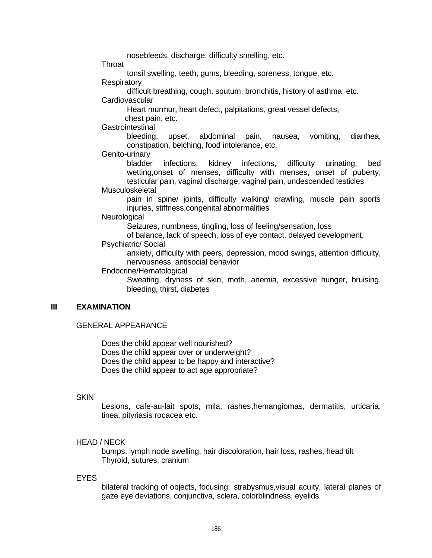nosebleeds, discharge, difficulty smelling, etc.

## **Throat**

tonsil swelling, teeth, gums, bleeding, soreness, tongue, etc.

### **Respiratory**

difficult breathing, cough, sputum, bronchitis, history of asthma, etc. **Cardiovascular** 

Heart murmur, heart defect, palpitations, great vessel defects,

chest pain, etc.

**Gastrointestinal** 

bleeding, upset, abdominal pain, nausea, vomiting, diarrhea, constipation, belching, food intolerance, etc.

### Genito-urinary

bladder infections, kidney infections, difficulty urinating, bed wetting,onset of menses, difficulty with menses, onset of puberty, testicular pain, vaginal discharge, vaginal pain, undescended testicles

## Musculoskeletal

pain in spine/ joints, difficulty walking/ crawling, muscle pain sports injuries, stiffness,congenital abnormalities

## **Neurological**

Seizures, numbness, tingling, loss of feeling/sensation, loss

of balance, lack of speech, loss of eye contact, delayed development,

## Psychiatric/ Social

anxiety, difficulty with peers, depression, mood swings, attention difficulty, nervousness, antisocial behavior

## Endocrine/Hematological

Sweating, dryness of skin, moth, anemia, excessive hunger, bruising, bleeding, thirst, diabetes

## **III EXAMINATION**

## GENERAL APPEARANCE

Does the child appear well nourished? Does the child appear over or underweight? Does the child appear to be happy and interactive? Does the child appear to act age appropriate?

### **SKIN**

Lesions, cafe-au-lait spots, mila, rashes,hemangiomas, dermatitis, urticaria, tinea, pityriasis rocacea etc.

### HEAD / NECK

bumps, lymph node swelling, hair discoloration, hair loss, rashes, head tilt Thyroid, sutures, cranium

### EYES

bilateral tracking of objects, focusing, strabysmus,visual acuity, lateral planes of gaze eye deviations, conjunctiva, sclera, colorblindness, eyelids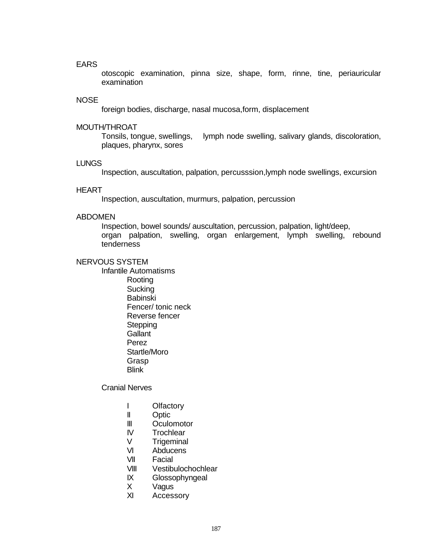## EARS

otoscopic examination, pinna size, shape, form, rinne, tine, periauricular examination

#### NOSE

foreign bodies, discharge, nasal mucosa,form, displacement

#### MOUTH/THROAT

Tonsils, tongue, swellings, lymph node swelling, salivary glands, discoloration, plaques, pharynx, sores

### LUNGS

Inspection, auscultation, palpation, percusssion,lymph node swellings, excursion

### **HEART**

Inspection, auscultation, murmurs, palpation, percussion

### ABDOMEN

Inspection, bowel sounds/ auscultation, percussion, palpation, light/deep, organ palpation, swelling, organ enlargement, lymph swelling, rebound tenderness

### NERVOUS SYSTEM

Infantile Automatisms Rooting **Sucking** Babinski Fencer/ tonic neck Reverse fencer **Stepping Gallant** Perez Startle/Moro Grasp **Blink** 

Cranial Nerves

- I Olfactory
- II Optic
- III Oculomotor
- IV Trochlear
- V Trigeminal
- VI Abducens
- VII Facial
- VIII Vestibulochochlear
- IX Glossophyngeal
- X Vagus
- XI Accessory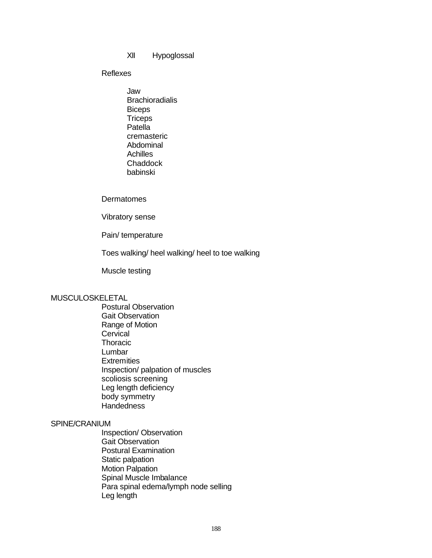### XII Hypoglossal

### Reflexes

Jaw **Brachioradialis Biceps Triceps** Patella cremasteric Abdominal Achilles **Chaddock** babinski

Dermatomes

Vibratory sense

Pain/ temperature

Toes walking/ heel walking/ heel to toe walking

Muscle testing

#### MUSCULOSKELETAL

Postural Observation Gait Observation Range of Motion **Cervical Thoracic** Lumbar **Extremities** Inspection/ palpation of muscles scoliosis screening Leg length deficiency body symmetry **Handedness** 

### SPINE/CRANIUM

Inspection/ Observation Gait Observation Postural Examination Static palpation Motion Palpation Spinal Muscle Imbalance Para spinal edema/lymph node selling Leg length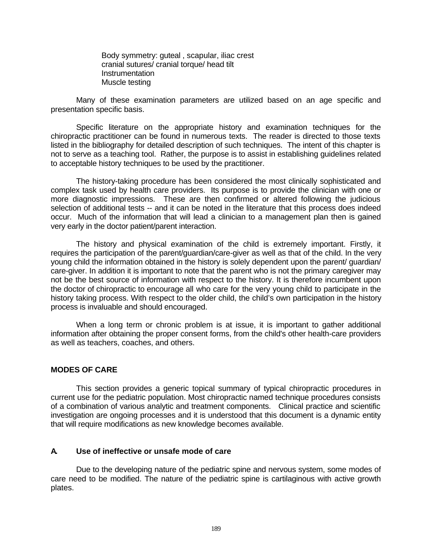Body symmetry: guteal , scapular, iliac crest cranial sutures/ cranial torque/ head tilt **Instrumentation** Muscle testing

Many of these examination parameters are utilized based on an age specific and presentation specific basis.

Specific literature on the appropriate history and examination techniques for the chiropractic practitioner can be found in numerous texts. The reader is directed to those texts listed in the bibliography for detailed description of such techniques. The intent of this chapter is not to serve as a teaching tool. Rather, the purpose is to assist in establishing guidelines related to acceptable history techniques to be used by the practitioner.

The history-taking procedure has been considered the most clinically sophisticated and complex task used by health care providers. Its purpose is to provide the clinician with one or more diagnostic impressions. These are then confirmed or altered following the judicious selection of additional tests -- and it can be noted in the literature that this process does indeed occur. Much of the information that will lead a clinician to a management plan then is gained very early in the doctor patient/parent interaction.

The history and physical examination of the child is extremely important. Firstly, it requires the participation of the parent/guardian/care-giver as well as that of the child. In the very young child the information obtained in the history is solely dependent upon the parent/ guardian/ care-giver. In addition it is important to note that the parent who is not the primary caregiver may not be the best source of information with respect to the history. It is therefore incumbent upon the doctor of chiropractic to encourage all who care for the very young child to participate in the history taking process. With respect to the older child, the child's own participation in the history process is invaluable and should encouraged.

When a long term or chronic problem is at issue, it is important to gather additional information after obtaining the proper consent forms, from the child's other health-care providers as well as teachers, coaches, and others.

### **MODES OF CARE**

This section provides a generic topical summary of typical chiropractic procedures in current use for the pediatric population. Most chiropractic named technique procedures consists of a combination of various analytic and treatment components. Clinical practice and scientific investigation are ongoing processes and it is understood that this document is a dynamic entity that will require modifications as new knowledge becomes available.

## **A. Use of ineffective or unsafe mode of care**

Due to the developing nature of the pediatric spine and nervous system, some modes of care need to be modified. The nature of the pediatric spine is cartilaginous with active growth plates.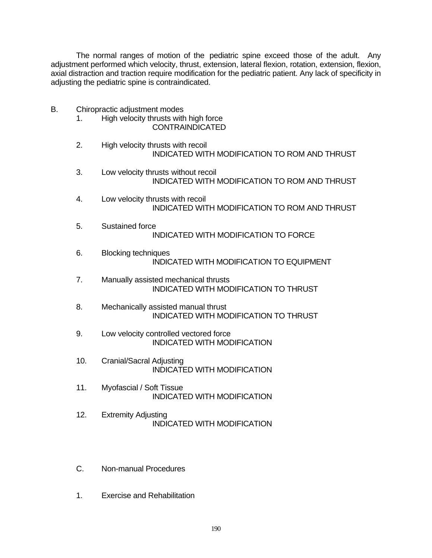The normal ranges of motion of the pediatric spine exceed those of the adult. Any adjustment performed which velocity, thrust, extension, lateral flexion, rotation, extension, flexion, axial distraction and traction require modification for the pediatric patient. Any lack of specificity in adjusting the pediatric spine is contraindicated.

- B. Chiropractic adjustment modes 1. High velocity thrusts with high force CONTRAINDICATED 2. High velocity thrusts with recoil INDICATED WITH MODIFICATION TO ROM AND THRUST 3. Low velocity thrusts without recoil INDICATED WITH MODIFICATION TO ROM AND THRUST 4. Low velocity thrusts with recoil INDICATED WITH MODIFICATION TO ROM AND THRUST 5. Sustained force INDICATED WITH MODIFICATION TO FORCE 6. Blocking techniques INDICATED WITH MODIFICATION TO EQUIPMENT 7. Manually assisted mechanical thrusts INDICATED WITH MODIFICATION TO THRUST 8. Mechanically assisted manual thrust INDICATED WITH MODIFICATION TO THRUST 9. Low velocity controlled vectored force INDICATED WITH MODIFICATION 10. Cranial/Sacral Adjusting INDICATED WITH MODIFICATION 11. Myofascial / Soft Tissue INDICATED WITH MODIFICATION 12. Extremity Adjusting INDICATED WITH MODIFICATION C. Non-manual Procedures 1. Exercise and Rehabilitation
	- 190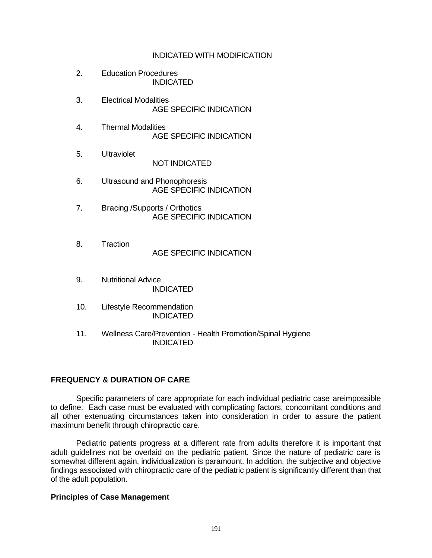## INDICATED WITH MODIFICATION

- 2. Education Procedures INDICATED
- 3. Electrical Modalities AGE SPECIFIC INDICATION
- 4. Thermal Modalities AGE SPECIFIC INDICATION
- 5. Ultraviolet NOT INDICATED
- 6. Ultrasound and Phonophoresis AGE SPECIFIC INDICATION
- 7. Bracing /Supports / Orthotics AGE SPECIFIC INDICATION
- 8. Traction AGE SPECIFIC INDICATION
- 9. Nutritional Advice INDICATED
- 10. Lifestyle Recommendation INDICATED
- 11. Wellness Care/Prevention Health Promotion/Spinal Hygiene INDICATED

## **FREQUENCY & DURATION OF CARE**

Specific parameters of care appropriate for each individual pediatric case areimpossible to define. Each case must be evaluated with complicating factors, concomitant conditions and all other extenuating circumstances taken into consideration in order to assure the patient maximum benefit through chiropractic care.

Pediatric patients progress at a different rate from adults therefore it is important that adult guidelines not be overlaid on the pediatric patient. Since the nature of pediatric care is somewhat different again, individualization is paramount. In addition, the subjective and objective findings associated with chiropractic care of the pediatric patient is significantly different than that of the adult population.

## **Principles of Case Management**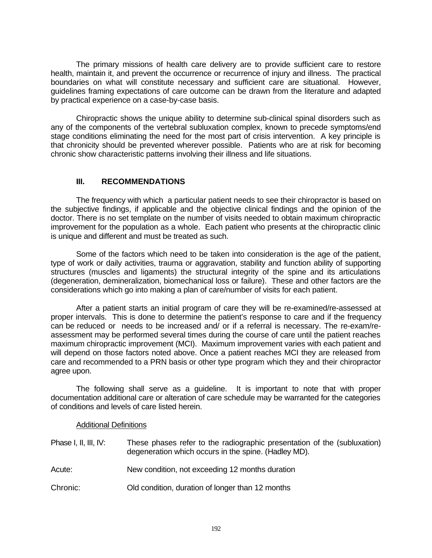The primary missions of health care delivery are to provide sufficient care to restore health, maintain it, and prevent the occurrence or recurrence of injury and illness. The practical boundaries on what will constitute necessary and sufficient care are situational. However, guidelines framing expectations of care outcome can be drawn from the literature and adapted by practical experience on a case-by-case basis.

Chiropractic shows the unique ability to determine sub-clinical spinal disorders such as any of the components of the vertebral subluxation complex, known to precede symptoms/end stage conditions eliminating the need for the most part of crisis intervention. A key principle is that chronicity should be prevented wherever possible. Patients who are at risk for becoming chronic show characteristic patterns involving their illness and life situations.

## **III. RECOMMENDATIONS**

The frequency with which a particular patient needs to see their chiropractor is based on the subjective findings, if applicable and the objective clinical findings and the opinion of the doctor. There is no set template on the number of visits needed to obtain maximum chiropractic improvement for the population as a whole. Each patient who presents at the chiropractic clinic is unique and different and must be treated as such.

Some of the factors which need to be taken into consideration is the age of the patient, type of work or daily activities, trauma or aggravation, stability and function ability of supporting structures (muscles and ligaments) the structural integrity of the spine and its articulations (degeneration, demineralization, biomechanical loss or failure). These and other factors are the considerations which go into making a plan of care/number of visits for each patient.

After a patient starts an initial program of care they will be re-examined/re-assessed at proper intervals. This is done to determine the patient's response to care and if the frequency can be reduced or needs to be increased and/ or if a referral is necessary. The re-exam/reassessment may be performed several times during the course of care until the patient reaches maximum chiropractic improvement (MCI). Maximum improvement varies with each patient and will depend on those factors noted above. Once a patient reaches MCI they are released from care and recommended to a PRN basis or other type program which they and their chiropractor agree upon.

The following shall serve as a guideline. It is important to note that with proper documentation additional care or alteration of care schedule may be warranted for the categories of conditions and levels of care listed herein.

### Additional Definitions

| Phase I, II, III, IV: | These phases refer to the radiographic presentation of the (subluxation)<br>degeneration which occurs in the spine. (Hadley MD). |
|-----------------------|----------------------------------------------------------------------------------------------------------------------------------|
| Acute:                | New condition, not exceeding 12 months duration                                                                                  |
| Chronic:              | Old condition, duration of longer than 12 months                                                                                 |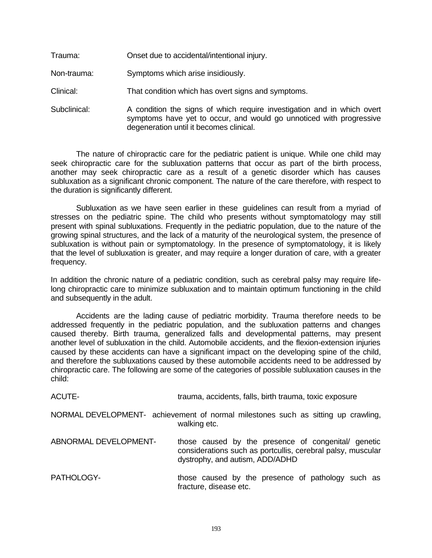| Trauma:      | Onset due to accidental/intentional injury.                                                                                                                                               |
|--------------|-------------------------------------------------------------------------------------------------------------------------------------------------------------------------------------------|
| Non-trauma:  | Symptoms which arise insidiously.                                                                                                                                                         |
| Clinical:    | That condition which has overt signs and symptoms.                                                                                                                                        |
| Subclinical: | A condition the signs of which require investigation and in which overt<br>symptoms have yet to occur, and would go unnoticed with progressive<br>degeneration until it becomes clinical. |

The nature of chiropractic care for the pediatric patient is unique. While one child may seek chiropractic care for the subluxation patterns that occur as part of the birth process, another may seek chiropractic care as a result of a genetic disorder which has causes subluxation as a significant chronic component. The nature of the care therefore, with respect to the duration is significantly different.

Subluxation as we have seen earlier in these guidelines can result from a myriad of stresses on the pediatric spine. The child who presents without symptomatology may still present with spinal subluxations. Frequently in the pediatric population, due to the nature of the growing spinal structures, and the lack of a maturity of the neurological system, the presence of subluxation is without pain or symptomatology. In the presence of symptomatology, it is likely that the level of subluxation is greater, and may require a longer duration of care, with a greater frequency.

In addition the chronic nature of a pediatric condition, such as cerebral palsy may require lifelong chiropractic care to minimize subluxation and to maintain optimum functioning in the child and subsequently in the adult.

Accidents are the lading cause of pediatric morbidity. Trauma therefore needs to be addressed frequently in the pediatric population, and the subluxation patterns and changes caused thereby. Birth trauma, generalized falls and developmental patterns, may present another level of subluxation in the child. Automobile accidents, and the flexion-extension injuries caused by these accidents can have a significant impact on the developing spine of the child, and therefore the subluxations caused by these automobile accidents need to be addressed by chiropractic care. The following are some of the categories of possible subluxation causes in the child:

| <b>ACUTE-</b>         | trauma, accidents, falls, birth trauma, toxic exposure                                                                                                |
|-----------------------|-------------------------------------------------------------------------------------------------------------------------------------------------------|
|                       | NORMAL DEVELOPMENT- achievement of normal milestones such as sitting up crawling,<br>walking etc.                                                     |
| ABNORMAL DEVELOPMENT- | those caused by the presence of congenital/ genetic<br>considerations such as portcullis, cerebral palsy, muscular<br>dystrophy, and autism, ADD/ADHD |
| PATHOLOGY-            | those caused by the presence of pathology such as<br>fracture, disease etc.                                                                           |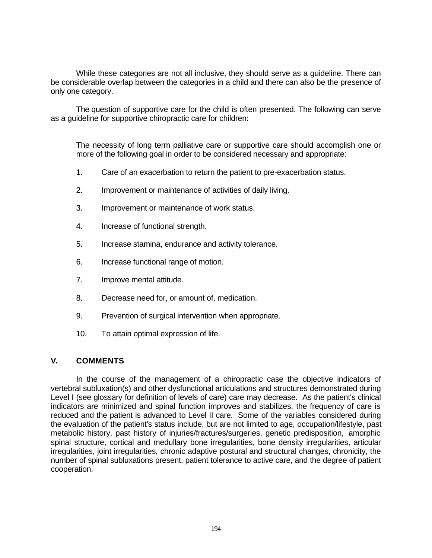While these categories are not all inclusive, they should serve as a guideline. There can be considerable overlap between the categories in a child and there can also be the presence of only one category.

The question of supportive care for the child is often presented. The following can serve as a guideline for supportive chiropractic care for children:

The necessity of long term palliative care or supportive care should accomplish one or more of the following goal in order to be considered necessary and appropriate:

- 1. Care of an exacerbation to return the patient to pre-exacerbation status.
- 2. Improvement or maintenance of activities of daily living.
- 3. Improvement or maintenance of work status.
- 4. Increase of functional strength.
- 5. Increase stamina, endurance and activity tolerance.
- 6. Increase functional range of motion.
- 7. Improve mental attitude.
- 8. Decrease need for, or amount of, medication.
- 9. Prevention of surgical intervention when appropriate.
- 10. To attain optimal expression of life.

## **V. COMMENTS**

In the course of the management of a chiropractic case the objective indicators of vertebral subluxation(s) and other dysfunctional articulations and structures demonstrated during Level I (see glossary for definition of levels of care) care may decrease. As the patient's clinical indicators are minimized and spinal function improves and stabilizes, the frequency of care is reduced and the patient is advanced to Level II care. Some of the variables considered during the evaluation of the patient's status include, but are not limited to age, occupation/lifestyle, past metabolic history, past history of injuries/fractures/surgeries, genetic predisposition, amorphic spinal structure, cortical and medullary bone irregularities, bone density irregularities, articular irregularities, joint irregularities, chronic adaptive postural and structural changes, chronicity, the number of spinal subluxations present, patient tolerance to active care, and the degree of patient cooperation.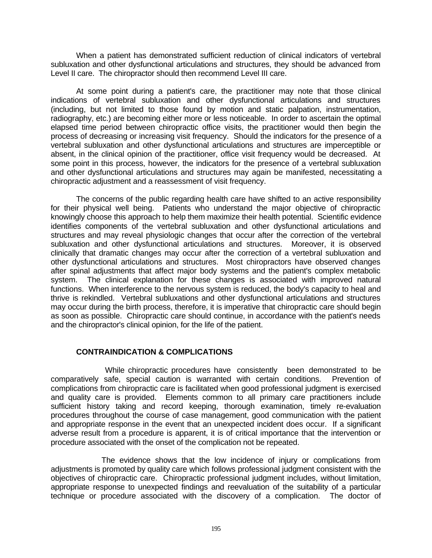When a patient has demonstrated sufficient reduction of clinical indicators of vertebral subluxation and other dysfunctional articulations and structures, they should be advanced from Level II care. The chiropractor should then recommend Level III care.

At some point during a patient's care, the practitioner may note that those clinical indications of vertebral subluxation and other dysfunctional articulations and structures (including, but not limited to those found by motion and static palpation, instrumentation, radiography, etc.) are becoming either more or less noticeable. In order to ascertain the optimal elapsed time period between chiropractic office visits, the practitioner would then begin the process of decreasing or increasing visit frequency. Should the indicators for the presence of a vertebral subluxation and other dysfunctional articulations and structures are imperceptible or absent, in the clinical opinion of the practitioner, office visit frequency would be decreased. At some point in this process, however, the indicators for the presence of a vertebral subluxation and other dysfunctional articulations and structures may again be manifested, necessitating a chiropractic adjustment and a reassessment of visit frequency.

The concerns of the public regarding health care have shifted to an active responsibility for their physical well being. Patients who understand the major objective of chiropractic knowingly choose this approach to help them maximize their health potential. Scientific evidence identifies components of the vertebral subluxation and other dysfunctional articulations and structures and may reveal physiologic changes that occur after the correction of the vertebral subluxation and other dysfunctional articulations and structures. Moreover, it is observed clinically that dramatic changes may occur after the correction of a vertebral subluxation and other dysfunctional articulations and structures. Most chiropractors have observed changes after spinal adjustments that affect major body systems and the patient's complex metabolic system. The clinical explanation for these changes is associated with improved natural functions. When interference to the nervous system is reduced, the body's capacity to heal and thrive is rekindled. Vertebral subluxations and other dysfunctional articulations and structures may occur during the birth process, therefore, it is imperative that chiropractic care should begin as soon as possible. Chiropractic care should continue, in accordance with the patient's needs and the chiropractor's clinical opinion, for the life of the patient.

## **CONTRAINDICATION & COMPLICATIONS**

 While chiropractic procedures have consistently been demonstrated to be comparatively safe, special caution is warranted with certain conditions. Prevention of complications from chiropractic care is facilitated when good professional judgment is exercised and quality care is provided. Elements common to all primary care practitioners include sufficient history taking and record keeping, thorough examination, timely re-evaluation procedures throughout the course of case management, good communication with the patient and appropriate response in the event that an unexpected incident does occur. If a significant adverse result from a procedure is apparent, it is of critical importance that the intervention or procedure associated with the onset of the complication not be repeated.

The evidence shows that the low incidence of injury or complications from adjustments is promoted by quality care which follows professional judgment consistent with the objectives of chiropractic care. Chiropractic professional judgment includes, without limitation, appropriate response to unexpected findings and reevaluation of the suitability of a particular technique or procedure associated with the discovery of a complication. The doctor of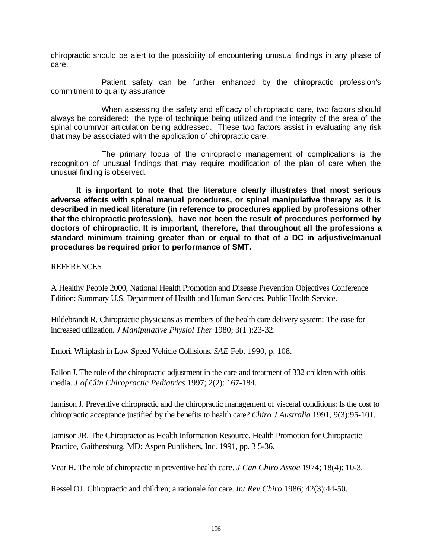chiropractic should be alert to the possibility of encountering unusual findings in any phase of care.

Patient safety can be further enhanced by the chiropractic profession's commitment to quality assurance.

When assessing the safety and efficacy of chiropractic care, two factors should always be considered: the type of technique being utilized and the integrity of the area of the spinal column/or articulation being addressed. These two factors assist in evaluating any risk that may be associated with the application of chiropractic care.

The primary focus of the chiropractic management of complications is the recognition of unusual findings that may require modification of the plan of care when the unusual finding is observed..

**It is important to note that the literature clearly illustrates that most serious adverse effects with spinal manual procedures, or spinal manipulative therapy as it is described in medical literature (in reference to procedures applied by professions other that the chiropractic profession), have not been the result of procedures performed by doctors of chiropractic. It is important, therefore, that throughout all the professions a standard minimum training greater than or equal to that of a DC in adjustive/manual procedures be required prior to performance of SMT.**

REFERENCES

A Healthy People 2000, National Health Promotion and Disease Prevention Objectives Conference Edition: Summary U.S. Department of Health and Human Services. Public Health Service.

Hildebrandt R. Chiropractic physicians as members of the health care delivery system: The case for increased utilization. *J Manipulative Physiol Ther* 1980; 3(1 ):23-32.

Emori. Whiplash in Low Speed Vehicle Collisions. *SAE* Feb. 1990, p. 108.

Fallon J. The role of the chiropractic adjustment in the care and treatment of 332 children with otitis media. *J of Clin Chiropractic Pediatrics* 1997; 2(2): 167-184.

Jamison J. Preventive chiropractic and the chiropractic management of visceral conditions: Is the cost to chiropractic acceptance justified by the benefits to health care? *Chiro J Australia* 1991, 9(3):95-101.

Jamison JR. The Chiropractor as Health Information Resource, Health Promotion for Chiropractic Practice*,* Gaithersburg, MD: Aspen Publishers, Inc. 1991, pp. 3 5-36.

Vear H. The role of chiropractic in preventive health care. *J Can Chiro Assoc* 1974; 18(4): 10-3.

Ressel OJ. Chiropractic and children; a rationale for care. *Int Rev Chiro* 1986*;* 42(3):44-50.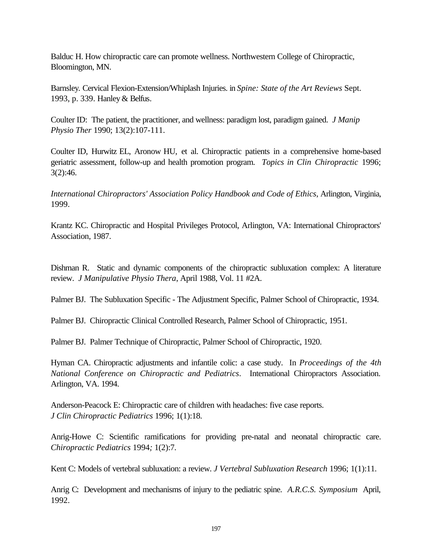Balduc H. How chiropractic care can promote wellness. Northwestern College of Chiropractic, Bloomington, MN.

Barnsley. Cervical Flexion-Extension/Whiplash Injuries. in *Spine: State of the Art Reviews* Sept. 1993, p. 339. Hanley & Belfus.

Coulter ID: The patient, the practitioner, and wellness: paradigm lost, paradigm gained. *J Manip Physio Ther* 1990; 13(2):107-111.

Coulter ID, Hurwitz EL, Aronow HU, et al. Chiropractic patients in a comprehensive home-based geriatric assessment, follow-up and health promotion program. *Topics in Clin Chiropractic* 1996; 3(2):46.

*International Chiropractors' Association Policy Handbook and Code of Ethics*, Arlington, Virginia, 1999.

Krantz KC. Chiropractic and Hospital Privileges Protocol, Arlington, VA: International Chiropractors' Association, 1987.

Dishman R. Static and dynamic components of the chiropractic subluxation complex: A literature review. *J Manipulative Physio Thera*, April 1988, Vol. 11 #2A.

Palmer BJ. The Subluxation Specific - The Adjustment Specific, Palmer School of Chiropractic, 1934.

Palmer BJ. Chiropractic Clinical Controlled Research, Palmer School of Chiropractic, 1951.

Palmer BJ. Palmer Technique of Chiropractic, Palmer School of Chiropractic, 1920.

Hyman CA. Chiropractic adjustments and infantile colic: a case study. In *Proceedings of the 4th National Conference on Chiropractic and Pediatrics*. International Chiropractors Association. Arlington, VA. 1994.

Anderson-Peacock E: Chiropractic care of children with headaches: five case reports. *J Clin Chiropractic Pediatrics* 1996; 1(1):18.

Anrig-Howe C: Scientific ramifications for providing pre-natal and neonatal chiropractic care. *Chiropractic Pediatrics* 1994*;* 1(2):7.

Kent C: Models of vertebral subluxation: a review. *J Vertebral Subluxation Research* 1996; 1(1):11.

Anrig C: Development and mechanisms of injury to the pediatric spine. *A.R.C.S. Symposium* April, 1992.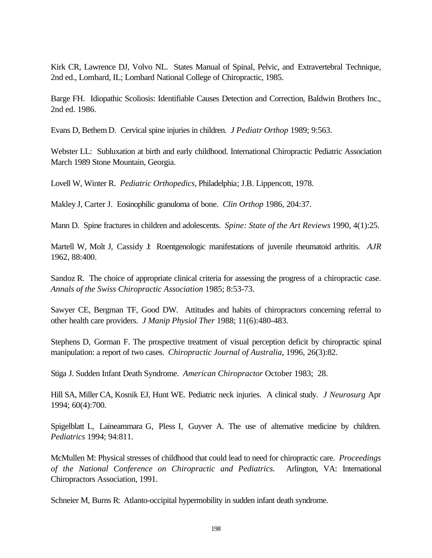Kirk CR, Lawrence DJ, Volvo NL. States Manual of Spinal, Pelvic, and Extravertebral Technique, 2nd ed., Lombard, IL; Lombard National College of Chiropractic, 1985.

Barge FH. Idiopathic Scoliosis: Identifiable Causes Detection and Correction, Baldwin Brothers Inc., 2nd ed. 1986.

Evans D, Bethem D. Cervical spine injuries in children. *J Pediatr Orthop* 1989; 9:563.

Webster LL: Subluxation at birth and early childhood. International Chiropractic Pediatric Association March 1989 Stone Mountain, Georgia.

Lovell W, Winter R. *Pediatric Orthopedics*, Philadelphia; J.B. Lippencott, 1978.

Makley J, Carter J. Eosinophilic granuloma of bone. *Clin Orthop* 1986, 204:37.

Mann D. Spine fractures in children and adolescents. *Spine: State of the Art Reviews* 1990, 4(1):25.

Martell W, Molt J, Cassidy J: Roentgenologic manifestations of juvenile rheumatoid arthritis. *AJR* 1962, 88:400.

Sandoz R. The choice of appropriate clinical criteria for assessing the progress of a chiropractic case. *Annals of the Swiss Chiropractic Association* 1985; 8:53-73.

Sawyer CE, Bergman TF, Good DW. Attitudes and habits of chiropractors concerning referral to other health care providers. *J Manip Physiol Ther* 1988; 11(6):480-483.

Stephens D, Gorman F. The prospective treatment of visual perception deficit by chiropractic spinal manipulation: a report of two cases. *Chiropractic Journal of Australia*, 1996, 26(3):82.

Stiga J. Sudden Infant Death Syndrome. *American Chiropractor* October 1983; 28.

Hill SA, Miller CA, Kosnik EJ, Hunt WE. Pediatric neck injuries. A clinical study. *J Neurosurg* Apr 1994; 60(4):700.

Spigelblatt L, Laineammara G, Pless I, Guyver A. The use of alternative medicine by children. *Pediatrics* 1994; 94:811.

McMullen M: Physical stresses of childhood that could lead to need for chiropractic care. *Proceedings of the National Conference on Chiropractic and Pediatrics.* Arlington, VA: International Chiropractors Association, 1991.

Schneier M, Burns R: Atlanto-occipital hypermobility in sudden infant death syndrome.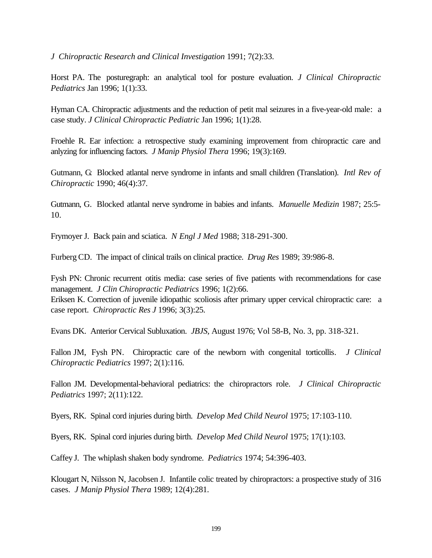*J Chiropractic Research and Clinical Investigation* 1991; 7(2):33.

Horst PA. The posturegraph: an analytical tool for posture evaluation. *J Clinical Chiropractic Pediatrics* Jan 1996; 1(1):33.

Hyman CA. Chiropractic adjustments and the reduction of petit mal seizures in a five-year-old male: a case study. *J Clinical Chiropractic Pediatric* Jan 1996; 1(1):28.

Froehle R. Ear infection: a retrospective study examining improvement from chiropractic care and anlyzing for influencing factors. *J Manip Physiol Thera* 1996; 19(3):169.

Gutmann, G: Blocked atlantal nerve syndrome in infants and small children (Translation). *Intl Rev of Chiropractic* 1990; 46(4):37.

Gutmann, G. Blocked atlantal nerve syndrome in babies and infants. *Manuelle Medizin* 1987; 25:5- 10.

Frymoyer J. Back pain and sciatica. *N Engl J Med* 1988; 318-291-300.

Furberg CD. The impact of clinical trails on clinical practice. *Drug Res* 1989; 39:986-8.

Fysh PN: Chronic recurrent otitis media: case series of five patients with recommendations for case management. *J Clin Chiropractic Pediatrics* 1996; 1(2):66. Eriksen K. Correction of juvenile idiopathic scoliosis after primary upper cervical chiropractic care: a case report. *Chiropractic Res J* 1996; 3(3):25.

Evans DK. Anterior Cervical Subluxation. *JBJS,* August 1976; Vol 58-B, No. 3, pp. 318-321.

Fallon JM, Fysh PN. Chiropractic care of the newborn with congenital torticollis. *J Clinical Chiropractic Pediatrics* 1997; 2(1):116.

Fallon JM. Developmental-behavioral pediatrics: the chiropractors role. *J Clinical Chiropractic Pediatrics* 1997; 2(11):122.

Byers, RK. Spinal cord injuries during birth. *Develop Med Child Neurol* 1975; 17:103-110.

Byers, RK. Spinal cord injuries during birth. *Develop Med Child Neurol* 1975; 17(1):103.

Caffey J. The whiplash shaken body syndrome. *Pediatrics* 1974; 54:396-403.

Klougart N, Nilsson N, Jacobsen J. Infantile colic treated by chiropractors: a prospective study of 316 cases. *J Manip Physiol Thera* 1989; 12(4):281.